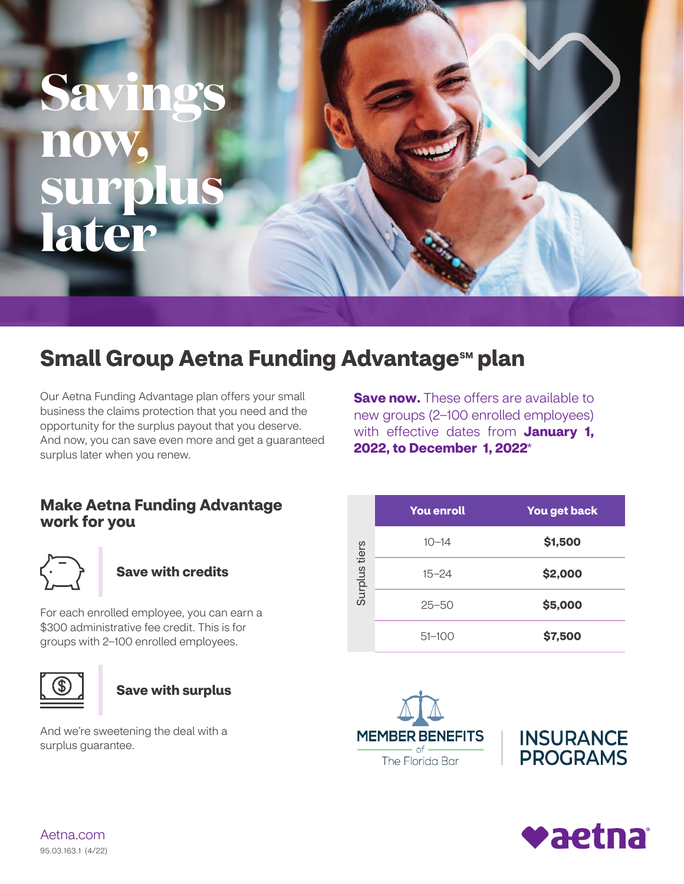# **Savings now, surplus later**

### **Small Group Aetna Funding Advantage<sup>sM</sup> plan**

Our Aetna Funding Advantage plan offers your small business the claims protection that you need and the opportunity for the surplus payout that you deserve. And now, you can save even more and get a guaranteed surplus later when you renew.

**Save now.** These offers are available to new groups (2–100 enrolled employees) with effective dates from **January 1, 2022, to December 1, 2022**\*

#### **Make Aetna Funding Advantage work for you**



#### **Save with credits**

For each enrolled employee, you can earn a \$300 administrative fee credit. This is for groups with 2–100 enrolled employees.





And we're sweetening the deal with a surplus guarantee.

|               | <b>You enroll</b> | You get back |
|---------------|-------------------|--------------|
| Surplus tiers | $10 - 14$         | \$1,500      |
|               | $15 - 24$         | \$2,000      |
|               | $25 - 50$         | \$5,000      |
|               | $51 - 100$        | \$7,500      |







[Aetna.com](http://Aetna.com) 95.03.163.1 (4/22)